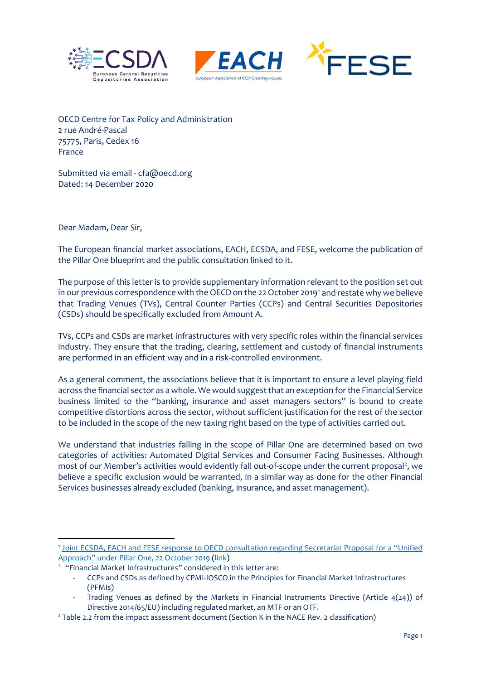





OECD Centre for Tax Policy and Administration 2 rue André-Pascal 75775, Paris, Cedex 16 France

Submitted via email - cfa@oecd.org Dated: 14 December 2020

Dear Madam, Dear Sir,

The European financial market associations, EACH, ECSDA, and FESE, welcome the publication of the Pillar One blueprint and the public consultation linked to it.

The purpose of this letter is to provide supplementary information relevant to the position set out in our previous correspondence with the OECD on the 22 October 2019[1](#page-0-0) and restate why we believe that Trading Venues (TVs), Central Counter Parties (CCPs) and Central Securities Depositories (CSDs) should be specifically excluded from Amount A.

TVs, CCPs and CSDs are market infrastructures with very specific roles within the financial services industry. They ensure that the trading, clearing, settlement and custody of financial instruments are performed in an efficient way and in a risk-controlled environment.

As a general comment, the associations believe that it is important to ensure a level playing field across the financial sector as a whole. We would suggest that an exception for the Financial Service business limited to the "banking, insurance and asset managers sectors" is bound to create competitive distortions across the sector, without sufficient justification for the rest of the sector to be included in the scope of the new taxing right based on the type of activities carried out.

We understand that industries falling in the scope of Pillar One are determined based on two categories of activities: Automated Digital Services and Consumer Facing Businesses. Although most of our Member's activities would evidently fall out-of-scope under the current proposal<sup>[2](#page-0-1)</sup>, we believe a specific exclusion would be warranted, in a similar way as done for the other Financial Services businesses already excluded (banking, insurance, and asset management).

<span id="page-0-0"></span><sup>1</sup> [Joint ECSDA, EACH and FESE response to OECD consultation regarding Secretariat Proposal for a "Unified](https://ecsdaeu.sharepoint.com/:b:/g/dossiers/ERoHaXvq0CJEmFCUJOKi8tABDVNYa71Nkxjb_eS23ixLSw?e=G7Ijw8)  Approach" under Pillar One, 22 October 2019 [\(link\)](https://ecsdaeu.sharepoint.com/:b:/g/dossiers/ERoHaXvq0CJEmFCUJOKi8tABDVNYa71Nkxjb_eS23ixLSw?e=G7Ijw8) 1

 <sup>&</sup>quot;Financial Market Infrastructures" considered in this letter are:

<sup>-</sup> CCPs and CSDs as defined by CPMI-IOSCO in the Principles for Financial Market Infrastructures (PFMIs)

Trading Venues as defined by the Markets in Financial Instruments Directive (Article 4(24)) of Directive 2014/65/EU) including regulated market, an MTF or an OTF.

<span id="page-0-1"></span><sup>2</sup> Table 2.2 from the impact assessment document (Section K in the NACE Rev. 2 classification)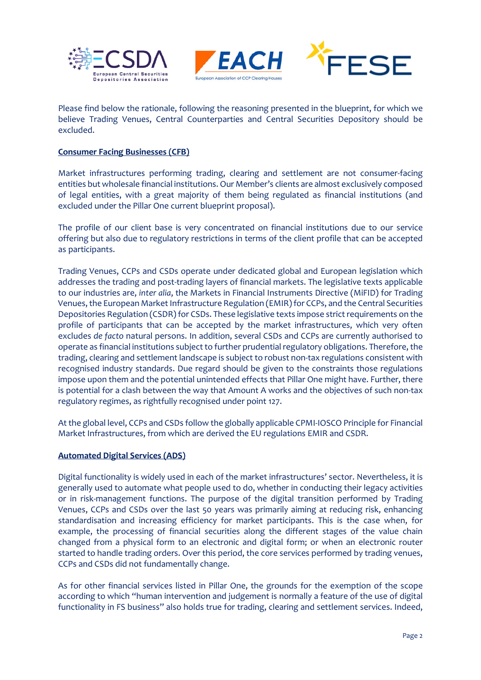





Please find below the rationale, following the reasoning presented in the blueprint, for which we believe Trading Venues, Central Counterparties and Central Securities Depository should be excluded.

# **Consumer Facing Businesses (CFB)**

Market infrastructures performing trading, clearing and settlement are not consumer-facing entities but wholesale financial institutions. Our Member's clients are almost exclusively composed of legal entities, with a great majority of them being regulated as financial institutions (and excluded under the Pillar One current blueprint proposal).

The profile of our client base is very concentrated on financial institutions due to our service offering but also due to regulatory restrictions in terms of the client profile that can be accepted as participants.

Trading Venues, CCPs and CSDs operate under dedicated global and European legislation which addresses the trading and post-trading layers of financial markets. The legislative texts applicable to our industries are, *inter alia*, the Markets in Financial Instruments Directive (MiFID) for Trading Venues, the European Market Infrastructure Regulation (EMIR) for CCPs, and the Central Securities Depositories Regulation (CSDR) for CSDs. These legislative texts impose strict requirements on the profile of participants that can be accepted by the market infrastructures, which very often excludes *de facto* natural persons. In addition, several CSDs and CCPs are currently authorised to operate as financial institutions subject to further prudential regulatory obligations. Therefore, the trading, clearing and settlement landscape is subject to robust non-tax regulations consistent with recognised industry standards. Due regard should be given to the constraints those regulations impose upon them and the potential unintended effects that Pillar One might have. Further, there is potential for a clash between the way that Amount A works and the objectives of such non-tax regulatory regimes, as rightfully recognised under point 127.

At the global level, CCPs and CSDs follow the globally applicable CPMI-IOSCO Principle for Financial Market Infrastructures, from which are derived the EU regulations EMIR and CSDR.

## **Automated Digital Services (ADS)**

Digital functionality is widely used in each of the market infrastructures' sector. Nevertheless, it is generally used to automate what people used to do, whether in conducting their legacy activities or in risk-management functions. The purpose of the digital transition performed by Trading Venues, CCPs and CSDs over the last 50 years was primarily aiming at reducing risk, enhancing standardisation and increasing efficiency for market participants. This is the case when, for example, the processing of financial securities along the different stages of the value chain changed from a physical form to an electronic and digital form; or when an electronic router started to handle trading orders. Over this period, the core services performed by trading venues, CCPs and CSDs did not fundamentally change.

As for other financial services listed in Pillar One, the grounds for the exemption of the scope according to which "human intervention and judgement is normally a feature of the use of digital functionality in FS business" also holds true for trading, clearing and settlement services. Indeed,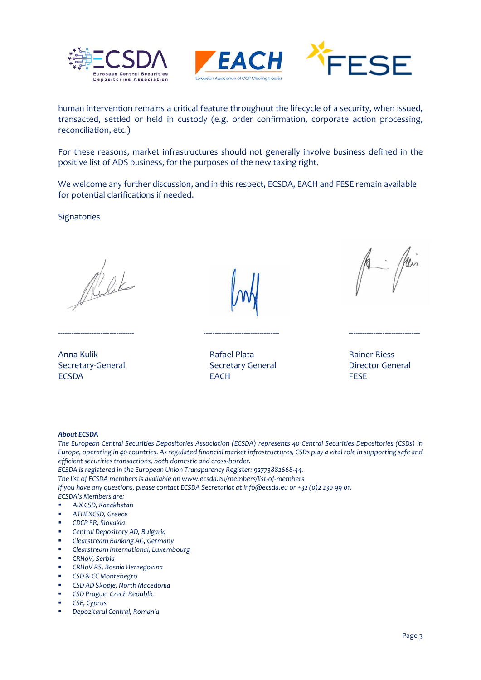





human intervention remains a critical feature throughout the lifecycle of a security, when issued, transacted, settled or held in custody (e.g. order confirmation, corporate action processing, reconciliation, etc.)

For these reasons, market infrastructures should not generally involve business defined in the positive list of ADS business, for the purposes of the new taxing right.

We welcome any further discussion, and in this respect, ECSDA, EACH and FESE remain available for potential clarifications if needed.

**Signatories** 

---------------------------------- ---------------------------------- --------------------------------

Secretary-General Secretary General Director General Secretary General Director General ECSDA EACH EACH FESE



Anna Kulik Rafael Plata Rainer Riess



### *About ECSDA*

*The European Central Securities Depositories Association (ECSDA) represents 40 Central Securities Depositories (CSDs) in Europe, operating in 40 countries. Asregulated financial market infrastructures, CSDs play a vital role in supporting safe and efficient securities transactions, both domestic and cross-border.* 

*ECSDA is registered in the European Union Transparency Register: 92773882668-44.*

*The list of ECSDA members is available on www.ecsda.eu/members/list-of-members* 

*If you have any questions, please contact ECSDA Secretariat at info@ecsda.eu or +32 (0)2 230 99 01. ECSDA's Members are:*

- *AIX CSD, Kazakhstan*
- *ATHEXCSD, Greece*
- *CDCP SR, Slovakia*
- *Central Depository AD, Bulgaria*
- *Clearstream Banking AG, Germany*
- *Clearstream International, Luxembourg*
- *CRHoV, Serbia*
- *CRHoV RS, Bosnia Herzegovina*
- *CSD & CC Montenegro*
- *CSD AD Skopje, North Macedonia*
- *CSD Prague, Czech Republic*
- *CSE, Cyprus*
- *Depozitarul Central, Romania*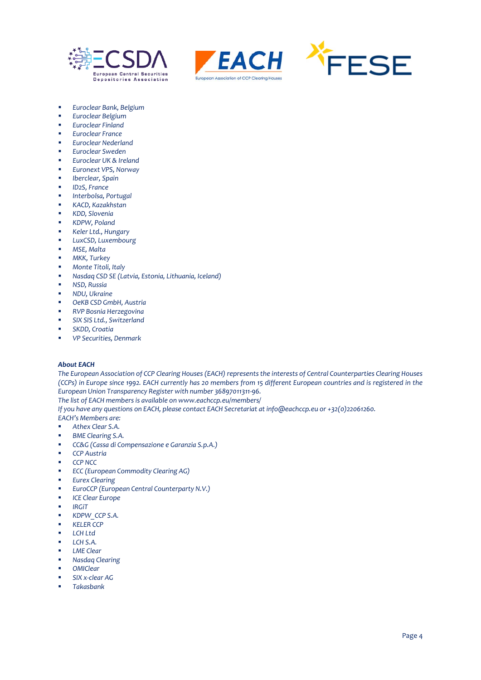





- *Euroclear Bank, Belgium*
- *Euroclear Belgium*
- *Euroclear Finland*
- *Euroclear France*
- *Euroclear Nederland*
- *Euroclear Sweden*
- *Euroclear UK & Ireland*
- *Euronext VPS, Norway*
- *Iberclear, Spain*
- *ID2S, France*
- *Interbolsa, Portugal*
- *KACD, Kazakhstan*
- *KDD, Slovenia*
- *KDPW, Poland*
- *Keler Ltd., Hungary*
- *LuxCSD, Luxembourg*
- *MSE, Malta*
- *MKK, Turkey*
- *Monte Titoli, Italy*
- *Nasdaq CSD SE (Latvia, Estonia, Lithuania, Iceland)*
- *NSD, Russia*
- *NDU, Ukraine*
- *OeKB CSD GmbH, Austria*
- *RVP Bosnia Herzegovina*
- *SIX SIS Ltd., Switzerland*
- *SKDD, Croatia*
- *VP Securities, Denmark*

### *About EACH*

*The European Association of CCP Clearing Houses (EACH) represents the interests of Central Counterparties Clearing Houses (CCPs) in Europe since 1992. EACH currently has 20 members from 15 different European countries and is registered in the European Union Transparency Register with number 36897011311-96.* 

*The list of EACH members is available on www.eachccp.eu/members/* 

*If you have any questions on EACH, please contact EACH Secretariat at info@eachccp.eu or +32(0)22061260.*

*EACH's Members are:*

- *[Athex Clear S.A.](http://www.helex.gr/clearing-athex-clear)*
- *[BME Clearing S.A.](http://www.bmeclearing.es/?id=ing)*
- *[CC&G \(Cassa di Compensazione e Garanzia S.p.A.\)](http://www.lseg.com/areas-expertise/post-trade-services/ccp-services/ccg)*
- *[CCP Austria](http://www.ccpa.at/)*
- *[CCP NCC](http://www.nkcbank.com/viewCatalog.do?menuKey=36)*
- *[ECC \(European Commodity Clearing AG\)](http://www.ecc.de/ecc-en/)*
- *[Eurex Clearing](http://www.eurexclearing.com/clearing-en/)*
- *[EuroCCP \(European Central Counterparty N.V.\)](https://euroccp.com/)*
- *[ICE Clear Europe](https://www.theice.com/clear-europe)*
- *[IRGiT](http://www.irgit.pl/en/)*
- *[KDPW\\_CCP S.A.](http://www.kdpwccp.pl/en/Pages/Home_ccp_en.aspx)*
- *[KELER CCP](https://english.kelerkszf.hu/)*
- *[LCH Ltd](http://www.lchclearnet.com/members-clients/members)*
- *[LCH S.A.](http://www.lchclearnet.com/members-clients/members)*
- *[LME Clear](https://www.lme.com/LME-Clear/Technology/Reports/CPMI-IOSCO-Disclosure)*
- *[Nasdaq Clearing](http://www.nasdaqomx.com/transactions/posttrade/clearing/europeanclearing)*
- *[OMIClear](http://www.omiclear.pt/)*
- *[SIX x-clear AG](http://www.six-securities-services.com/en/home/clearing.html)*
- *[Takasbank](https://www.takasbank.com.tr/en/Pages/MainPage.aspx)*